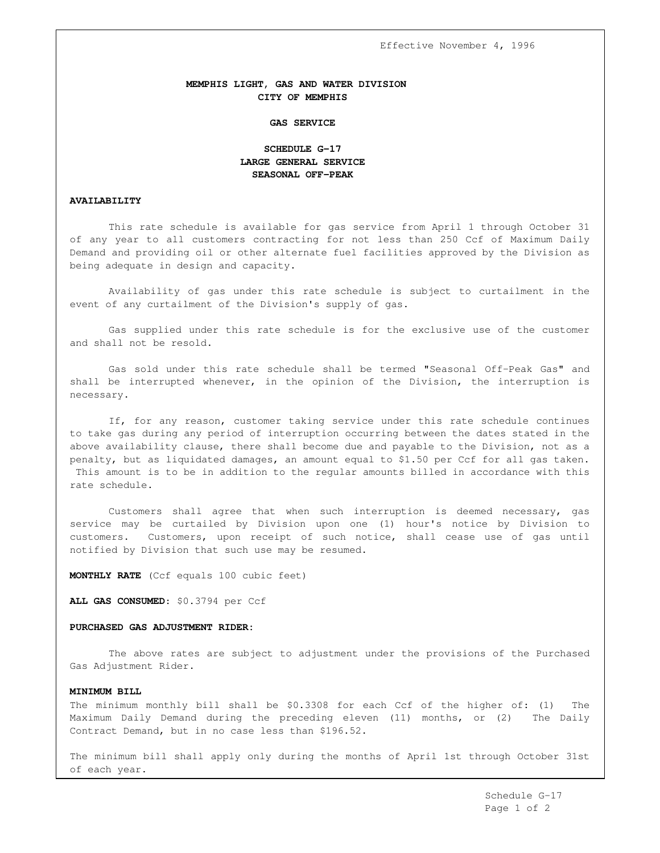Effective November 4, 1996

## **MEMPHIS LIGHT, GAS AND WATER DIVISION CITY OF MEMPHIS**

#### **GAS SERVICE**

# **SCHEDULE G-17 LARGE GENERAL SERVICE SEASONAL OFF-PEAK**

### **AVAILABILITY**

This rate schedule is available for gas service from April 1 through October 31 of any year to all customers contracting for not less than 250 Ccf of Maximum Daily Demand and providing oil or other alternate fuel facilities approved by the Division as being adequate in design and capacity.

Availability of gas under this rate schedule is subject to curtailment in the event of any curtailment of the Division's supply of gas.

Gas supplied under this rate schedule is for the exclusive use of the customer and shall not be resold.

Gas sold under this rate schedule shall be termed "Seasonal Off-Peak Gas" and shall be interrupted whenever, in the opinion of the Division, the interruption is necessary.

If, for any reason, customer taking service under this rate schedule continues to take gas during any period of interruption occurring between the dates stated in the above availability clause, there shall become due and payable to the Division, not as a penalty, but as liquidated damages, an amount equal to \$1.50 per Ccf for all gas taken. This amount is to be in addition to the regular amounts billed in accordance with this rate schedule.

Customers shall agree that when such interruption is deemed necessary, gas service may be curtailed by Division upon one (1) hour's notice by Division to customers. Customers, upon receipt of such notice, shall cease use of gas until notified by Division that such use may be resumed.

**MONTHLY RATE** (Ccf equals 100 cubic feet)

**ALL GAS CONSUMED**: \$0.3794 per Ccf

### **PURCHASED GAS ADJUSTMENT RIDER:**

The above rates are subject to adjustment under the provisions of the Purchased Gas Adjustment Rider.

## **MINIMUM BILL**

The minimum monthly bill shall be \$0.3308 for each Ccf of the higher of: (1) The Maximum Daily Demand during the preceding eleven (11) months, or (2) The Daily Contract Demand, but in no case less than \$196.52.

The minimum bill shall apply only during the months of April 1st through October 31st of each year.